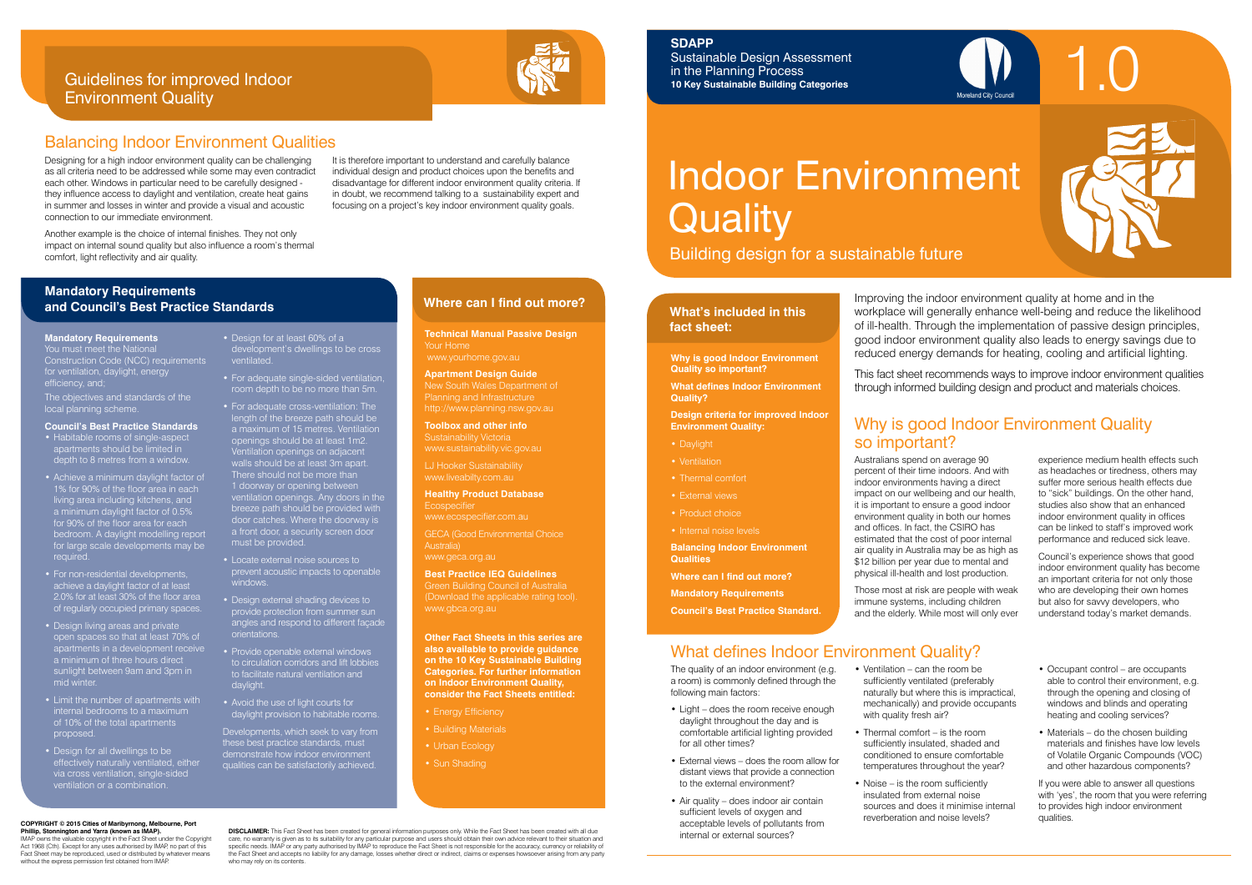**Technical Manual Passive Design** Your Home www.yourhome.gov.au

**Apartment Design Guide** New South Wales Department of

**Healthy Product Database Ecospecifie** 

**Toolbox and other info** Sustainability Victoria www.sustainability.vic.gov.au

LJ Hooker Sustainability www.liveabilty.com.au

www.ecospecifier.com.au

GECA (Good Environmental Choice Australia) www.geca.org.au

- Energy Efficiency
- Building Materials
- Urban Ecology
- Sun Shading

**Best Practice IEQ Guidelines**

Green Building Council of Australia (Download the applicable rating tool). www.gbca.org.au

**Other Fact Sheets in this series are also available to provide guidance on the 10 Key Sustainable Building Categories. For further information on Indoor Environment Quality, consider the Fact Sheets entitled:** 

## **Where can I find out more? Mandatory Requirements and Council's Best Practice Standards**

It is therefore important to understand and carefully balance individual design and product choices upon the benefits and disadvantage for different indoor environment quality criteria. If in doubt, we recommend talking to a sustainability expert and focusing on a project's key indoor environment quality goals.

### Guidelines for improved Indoor Environment Quality



Designing for a high indoor environment quality can be challenging as all criteria need to be addressed while some may even contradict each other. Windows in particular need to be carefully designed they influence access to daylight and ventilation, create heat gains in summer and losses in winter and provide a visual and acoustic connection to our immediate environment.

Another example is the choice of internal finishes. They not only impact on internal sound quality but also influence a room's thermal comfort, light reflectivity and air quality.

### Why is good Indoor Environment Quality so important?

# Indoor Environment **Quality**

### Balancing Indoor Environment Qualities

Building design for a sustainable future

### **What's included in this fact sheet:**



Australians spend on average 90 percent of their time indoors. And with indoor environments having a direct impact on our wellbeing and our health, it is important to ensure a good indoor environment quality in both our homes and offices. In fact, the CSIRO has estimated that the cost of poor internal air quality in Australia may be as high as \$12 billion per year due to mental and physical ill-health and lost production.

Those most at risk are people with weak immune systems, including children and the elderly. While most will only ever

experience medium health effects such as headaches or tiredness, others may suffer more serious health effects due to "sick" buildings. On the other hand, studies also show that an enhanced indoor environment quality in offices can be linked to staff's improved work performance and reduced sick leave.

Council's experience shows that good indoor environment quality has become an important criteria for not only those who are developing their own homes but also for savvy developers, who understand today's market demands.

**Why is good Indoor Environment Quality so important?**

**What defines Indoor Environment Quality?**

**Design criteria for improved Indoor Environment Quality:**

- Daylight
- Ventilation
- 
- 
- 
- 

The objectives and standards of the local planning scheme.

- Thermal comfort • External views
- Product choice
- Internal noise levels
- **Balancing Indoor Environment Qualities**

**Where can I find out more?**

**Mandatory Requirements**



**Council's Best Practice Standard.**

### • Design for at least 60% of a ventilated.

- The quality of an indoor environment (e.g. a room) is commonly defined through the following main factors:
- Light does the room receive enough daylight throughout the day and is comfortable artificial lighting provided for all other times?
- External views does the room allow for distant views that provide a connection to the external environment?
- Air quality does indoor air contain sufficient levels of oxygen and acceptable levels of pollutants from internal or external sources?
- Ventilation can the room be sufficiently ventilated (preferably naturally but where this is impractical, mechanically) and provide occupants with quality fresh air?
- Thermal comfort is the room sufficiently insulated, shaded and conditioned to ensure comfortable temperatures throughout the year?
- Noise is the room sufficiently insulated from external noise sources and does it minimise internal reverberation and noise levels?
- Occupant control are occupants able to control their environment, e.g. through the opening and closing of windows and blinds and operating heating and cooling services?
- Materials do the chosen building materials and finishes have low levels of Volatile Organic Compounds (VOC) and other hazardous components?

If you were able to answer all questions with 'yes', the room that you were referring to provides high indoor environment qualities.

## What defines Indoor Environment Quality?

Improving the indoor environment quality at home and in the workplace will generally enhance well-being and reduce the likelihood of ill-health. Through the implementation of passive design principles, good indoor environment quality also leads to energy savings due to reduced energy demands for heating, cooling and artificial lighting.

This fact sheet recommends ways to improve indoor environment qualities through informed building design and product and materials choices.

**COPYRIGHT © 2015 Cities of Maribyrnong, Melbourne, Port** 

#### **Phillip, Stonnington and Yarra (known as IMAP).**  IMAP owns the valuable copyright in the Fact Sheet under the Copyright Act 1968 (Cth). Except for any uses authorised by IMAP, no part of this Fact Sheet may be reproduced, used or distributed by whatever means without the express permission first obtained from IMAP.

**DISCLAIMER:** This Fact Sheet has been created for general information purposes only. While the Fact Sheet has been created with all due care, no warranty is given as to its suitability for any particular purpose and users should obtain their own advice relevant to their situation and<br>specific needs. IMAP or any party authorised by IMAP to reproduce the Fac the Fact Sheet and accepts no liability for any damage, losses whether direct or indirect, claims or expenses howsoever arising from any party who may rely on its contents.

#### **Mandatory Requirements**

You must meet the National Construction Code (NCC) requirements for ventilation, daylight, energy efficiency, and;

#### **Council's Best Practice Standards**

- Habitable rooms of single-aspect apartments should be limited in depth to 8 metres from a window.
- Achieve a minimum daylight factor of 1% for 90% of the floor area in each living area including kitchens, and a minimum daylight factor of 0.5% for 90% of the floor area for each bedroom. A daylight modelling report for large scale developments may be required.
- For non-residential developments, achieve a daylight factor of at least 2.0% for at least 30% of the floor area of regularly occupied primary spaces.
- Design living areas and private open spaces so that at least 70% of apartments in a development receive a minimum of three hours direct a minimum of three means the part of mid winter
- Limit the number of apartments with internal bedrooms to a maximum of 10% of the total apartments proposed.
- Design for all dwellings to be effectively naturally ventilated, either via cross ventilation, single-sided ventilation or a combination.
- For adequate single-sided ventilation, room depth to be no more than 5m.
- For adequate cross-ventilation: The length of the breeze path should be a maximum of 15 metres. Ventilation openings should be at least 1m2. Ventilation openings on adjacent walls should be at least 3m apart. There should not be more than 1 doorway or opening between ventilation openings. Any doors in the breeze path should be provided with door catches. Where the doorway is a front door, a security screen door must be provided.
- Locate external noise sources to prevent acoustic impacts to openable windows.
- Design external shading devices to provide protection from summer sun angles and respond to different façade orientations.
- Provide openable external windows to circulation corridors and lift lobbies to facilitate natural ventilation and daylight.
- Avoid the use of light courts for daylight provision to habitable rooms.

Developments, which seek to vary from these best practice standards, must demonstrate how indoor environment qualities can be satisfactorily achieved.

# **SDAPP**

Sustainable Design Assessment in the Planning Process **10 Key Sustainable Building Categories**